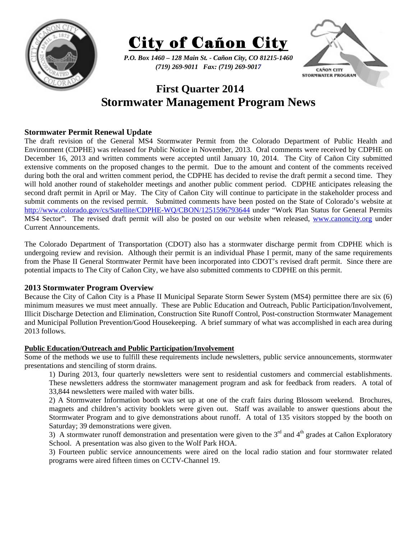



*P.O. Box 1460 – 128 Main St. - Cañon City, CO 81215-1460 (719) 269-9011 Fax: (719) 269-9017* 



# **First Quarter 2014 Stormwater Management Program News**

## **Stormwater Permit Renewal Update**

The draft revision of the General MS4 Stormwater Permit from the Colorado Department of Public Health and Environment (CDPHE) was released for Public Notice in November, 2013. Oral comments were received by CDPHE on December 16, 2013 and written comments were accepted until January 10, 2014. The City of Cañon City submitted extensive comments on the proposed changes to the permit. Due to the amount and content of the comments received during both the oral and written comment period, the CDPHE has decided to revise the draft permit a second time. They will hold another round of stakeholder meetings and another public comment period. CDPHE anticipates releasing the second draft permit in April or May. The City of Cañon City will continue to participate in the stakeholder process and submit comments on the revised permit. Submitted comments have been posted on the State of Colorado's website at http://www.colorado.gov/cs/Satellite/CDPHE-WQ/CBON/1251596793644 under "Work Plan Status for General Permits MS4 Sector". The revised draft permit will also be posted on our website when released, www.canoncity.org under Current Announcements.

The Colorado Department of Transportation (CDOT) also has a stormwater discharge permit from CDPHE which is undergoing review and revision. Although their permit is an individual Phase I permit, many of the same requirements from the Phase II General Stormwater Permit have been incorporated into CDOT's revised draft permit. Since there are potential impacts to The City of Cañon City, we have also submitted comments to CDPHE on this permit.

### **2013 Stormwater Program Overview**

Because the City of Cañon City is a Phase II Municipal Separate Storm Sewer System (MS4) permittee there are six (6) minimum measures we must meet annually. These are Public Education and Outreach, Public Participation/Involvement, Illicit Discharge Detection and Elimination, Construction Site Runoff Control, Post-construction Stormwater Management and Municipal Pollution Prevention/Good Housekeeping. A brief summary of what was accomplished in each area during 2013 follows.

#### **Public Education/Outreach and Public Participation/Involvement**

Some of the methods we use to fulfill these requirements include newsletters, public service announcements, stormwater presentations and stenciling of storm drains.

1) During 2013, four quarterly newsletters were sent to residential customers and commercial establishments. These newsletters address the stormwater management program and ask for feedback from readers. A total of 33,844 newsletters were mailed with water bills.

2) A Stormwater Information booth was set up at one of the craft fairs during Blossom weekend. Brochures, magnets and children's activity booklets were given out. Staff was available to answer questions about the Stormwater Program and to give demonstrations about runoff. A total of 135 visitors stopped by the booth on Saturday; 39 demonstrations were given.

3) A stormwater runoff demonstration and presentation were given to the  $3<sup>rd</sup>$  and  $4<sup>th</sup>$  grades at Cañon Exploratory School. A presentation was also given to the Wolf Park HOA.

3) Fourteen public service announcements were aired on the local radio station and four stormwater related programs were aired fifteen times on CCTV-Channel 19.